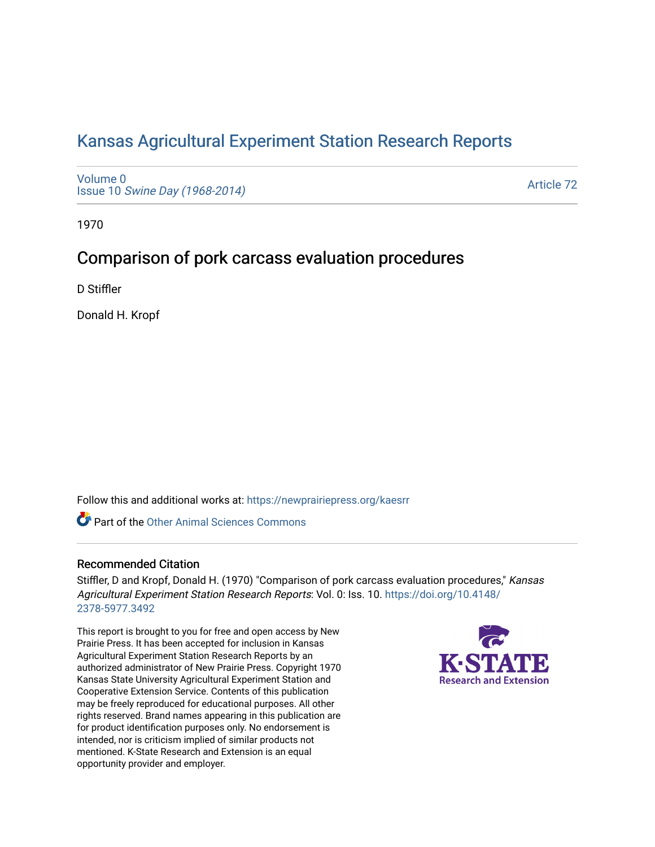## [Kansas Agricultural Experiment Station Research Reports](https://newprairiepress.org/kaesrr)

[Volume 0](https://newprairiepress.org/kaesrr/vol0) Issue 10 [Swine Day \(1968-2014\)](https://newprairiepress.org/kaesrr/vol0/iss10)

[Article 72](https://newprairiepress.org/kaesrr/vol0/iss10/72) 

1970

## Comparison of pork carcass evaluation procedures

D Stiffler

Donald H. Kropf

Follow this and additional works at: [https://newprairiepress.org/kaesrr](https://newprairiepress.org/kaesrr?utm_source=newprairiepress.org%2Fkaesrr%2Fvol0%2Fiss10%2F72&utm_medium=PDF&utm_campaign=PDFCoverPages) 

**C** Part of the [Other Animal Sciences Commons](http://network.bepress.com/hgg/discipline/82?utm_source=newprairiepress.org%2Fkaesrr%2Fvol0%2Fiss10%2F72&utm_medium=PDF&utm_campaign=PDFCoverPages)

#### Recommended Citation

Stiffler, D and Kropf, Donald H. (1970) "Comparison of pork carcass evaluation procedures," Kansas Agricultural Experiment Station Research Reports: Vol. 0: Iss. 10. [https://doi.org/10.4148/](https://doi.org/10.4148/2378-5977.3492) [2378-5977.3492](https://doi.org/10.4148/2378-5977.3492) 

This report is brought to you for free and open access by New Prairie Press. It has been accepted for inclusion in Kansas Agricultural Experiment Station Research Reports by an authorized administrator of New Prairie Press. Copyright 1970 Kansas State University Agricultural Experiment Station and Cooperative Extension Service. Contents of this publication may be freely reproduced for educational purposes. All other rights reserved. Brand names appearing in this publication are for product identification purposes only. No endorsement is intended, nor is criticism implied of similar products not mentioned. K-State Research and Extension is an equal opportunity provider and employer.

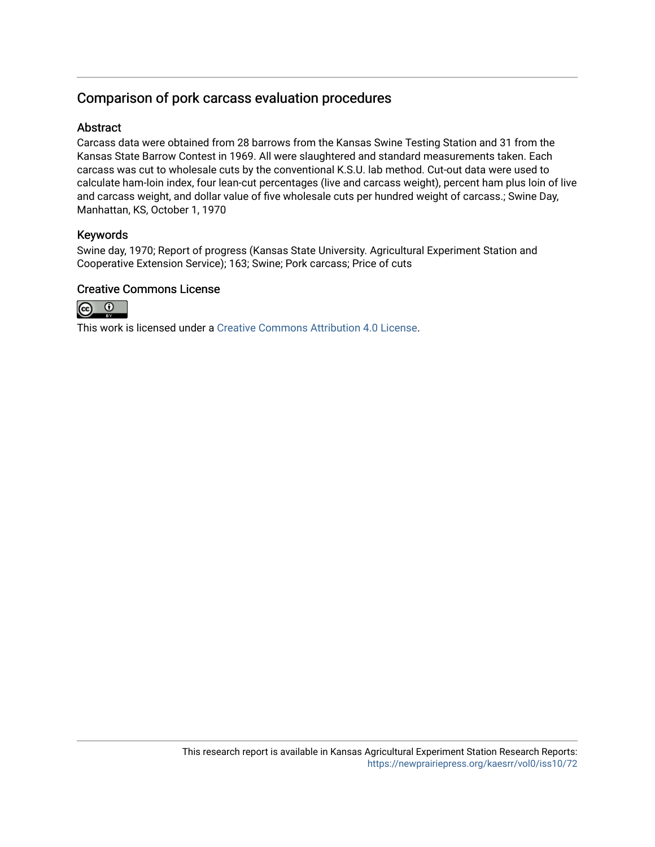## Comparison of pork carcass evaluation procedures

#### Abstract

Carcass data were obtained from 28 barrows from the Kansas Swine Testing Station and 31 from the Kansas State Barrow Contest in 1969. All were slaughtered and standard measurements taken. Each carcass was cut to wholesale cuts by the conventional K.S.U. lab method. Cut-out data were used to calculate ham-loin index, four lean-cut percentages (live and carcass weight), percent ham plus loin of live and carcass weight, and dollar value of five wholesale cuts per hundred weight of carcass.; Swine Day, Manhattan, KS, October 1, 1970

#### Keywords

Swine day, 1970; Report of progress (Kansas State University. Agricultural Experiment Station and Cooperative Extension Service); 163; Swine; Pork carcass; Price of cuts

### Creative Commons License



This work is licensed under a [Creative Commons Attribution 4.0 License](https://creativecommons.org/licenses/by/4.0/).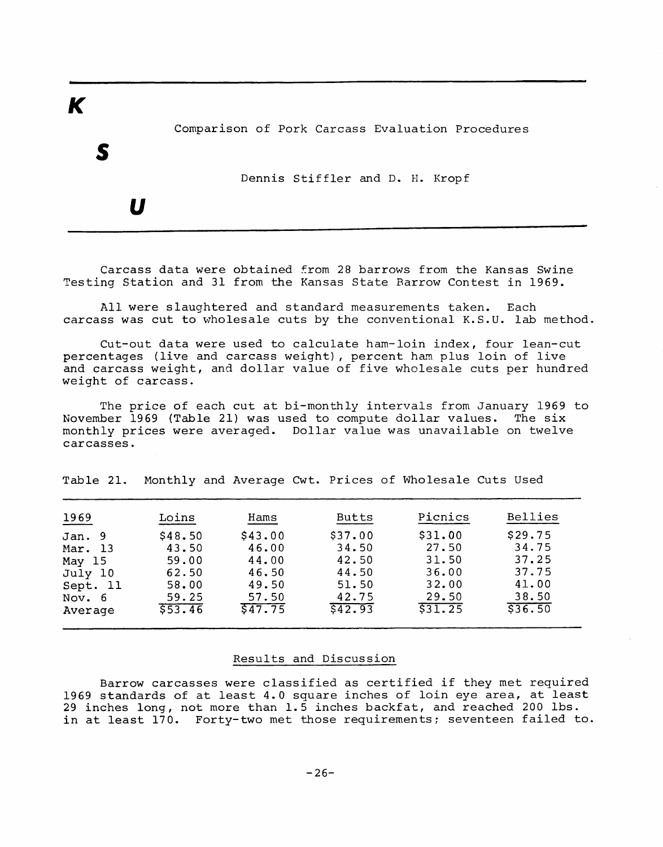Comparison of Pork Carcass Evaluation Procedures

Dennis Stiffler and D. H. Kropf

U

 $\boldsymbol{\mathsf{K}}$ 

Carcass data were obtained from 28 barrows from the Kansas Swine Testing Station and 31 from the Kansas State Barrow Contest in 1969.

All were slaughtered and standard measurements taken. Each carcass was cut to wholesale cuts by the conventional K.S.U. lab method.

Cut-out data were used to calculate ham-loin index, four lean-cut percentages (live and carcass weight), percent ham plus loin of live and carcass weight, and dollar value of five wholesale cuts per hundred weight of carcass.

The price of each cut at bi-monthly intervals from January 1969 to November 1969 (Table 21) was used to compute dollar values. The six monthly prices were averaged. Dollar value was unavailable on twelve carcasses.

Table 21. Monthly and Average Cwt. Prices of Wholesale Cuts Used

| 1969     | Loins   | Hams    | <b>Butts</b> | Picnics | Bellies |
|----------|---------|---------|--------------|---------|---------|
| Jan. 9   | \$48.50 | \$43.00 | \$37.00      | \$31.00 | \$29.75 |
| Mar. 13  | 43.50   | 46.00   | 34.50        | 27.50   | 34.75   |
| May 15   | 59.00   | 44.00   | 42.50        | 31.50   | 37.25   |
| July 10  | 62.50   | 46.50   | 44.50        | 36.00   | 37.75   |
| Sept. 11 | 58.00   | 49.50   | 51.50        | 32.00   | 41.00   |
| Nov. 6   | 59.25   | 57.50   | 42.75        | 29.50   | 38.50   |
| Average  | 553.46  | 547.75  | 542.93       | 531.25  | \$36.50 |

#### Results and Discussion

Barrow carcasses were classified as certified if they met required 1969 standards of at least 4.0 square inches of loin eye area, at least<br>29 inches long, not more than 1.5 inches backfat, and reached 200 lbs. in at least 170. Forty-two met those requirements; seventeen failed to.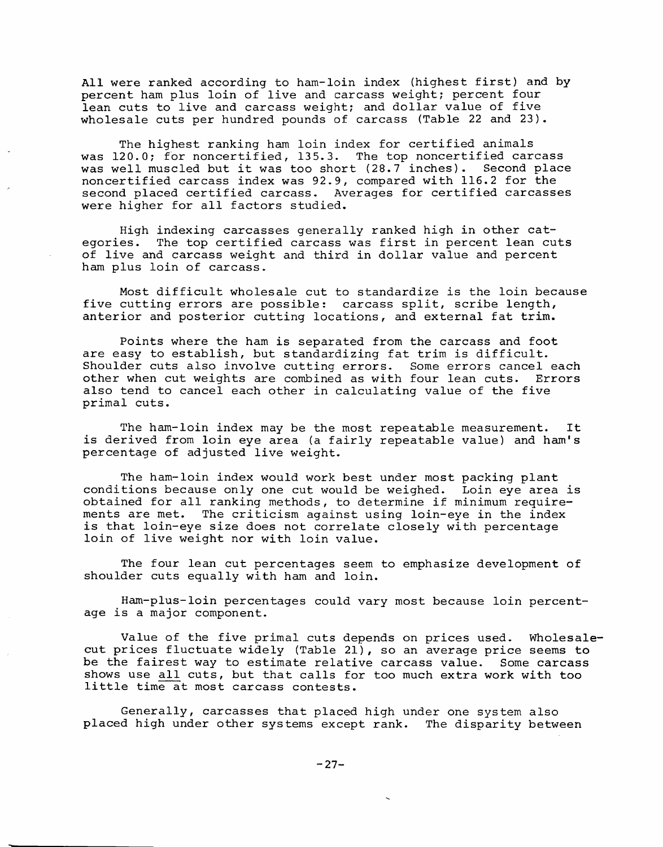All were ranked according to ham-loin index (highest first) and by percent ham plus loin of live and carcass weight; percent four lean cuts to live and carcass weight; and dollar value of five wholesale cuts per hundred pounds of carcass (Table 22 and 23).

The highest ranking ham loin index for certified animals was 120.0; for noncertified, 135.3. The top noncertified carcass was well muscled but it was too short (28.7 inches). Second place noncertified carcass index was 92.9, compared with 116.2 for the second placed certified carcass. Averages for certified carcasses were higher for all factors studied.

High indexing carcasses generally ranked high in other categories. The top certified carcass was first in percent lean cuts of live and carcass weight and third in dollar value and percent ham plus loin of carcass.

Most difficult wholesale cut to standardize is the loin because five cutting errors are possible: carcass split, scribe length, anterior and posterior cutting locations, and external fat trim.

Points where the ham is separated from the carcass and foot are easy to establish, but standardizing fat trim is difficult. Shoulder cuts also involve cutting errors. Some errors cancel each<br>other when cut weights are combined as with four lean cuts. Errors also tend to cancel each other in calculating value of the five primal cuts.

The ham-loin index may be the most repeatable measurement. It is derived from loin eye area (a fairly repeatable value) and ham's percentage of adjusted live weight.

The ham-loin index would work best under most packing plant conditions because only one cut would be weighed. Loin eye area is obtained for all ranking methods, to determine if minimum requirements are met. The criticism against using loin-eye in the index is that loin-eye size does not correlate closely with percentage loin of live weight nor with loin value.

The four lean cut percentages seem to emphasize development of shoulder cuts equally with ham and loin.

Ham-plus-loin percentages could vary most because loin percentage is a major component.

Value of the five primal cuts depends on prices used. Wholesalecut prices fluctuate widely (Table 21), so an average price seems to be the fairest way to estimate relative carcass value. Some carcass shows use all cuts, but that calls for too much extra work with too little time at most carcass contests.

Generally, carcasses that placed high under one system also placed high under other systems except rank. The disparity between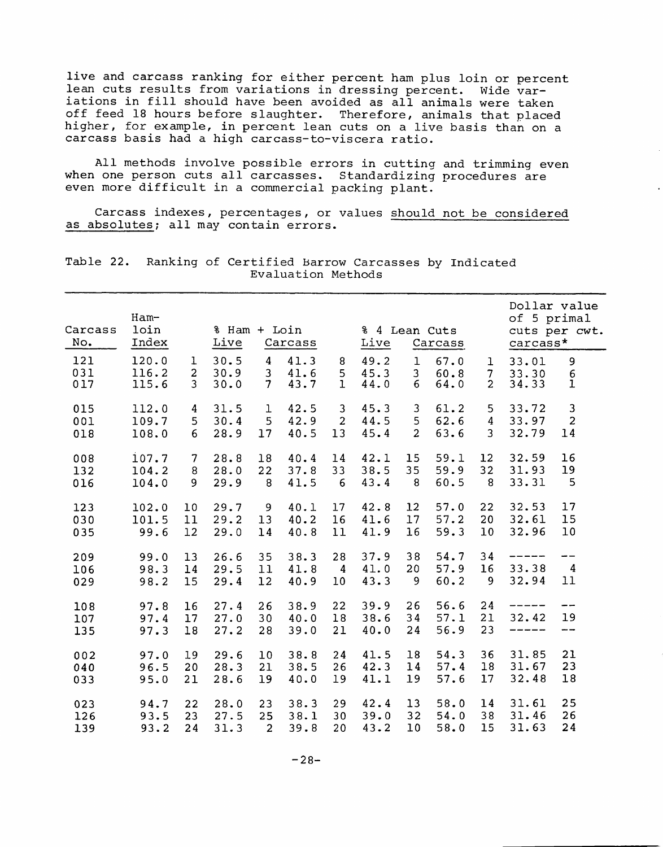live and carcass ranking for either percent ham plus loin or percent lean cuts results from variations in dressing percent. Wide variations in fill should have been avoided as all animals were taken off feed 18 hours before slaughter. Therefore, animals that placed higher, for example, in percent lean cuts on a live basis than on a carcass basis had a high carcass-to-viscera ratio.

All methods involve possible errors in cutting and trimming even when one person cuts all carcasses. Standardizing procedures are even more difficult in a commercial packing plant.

Carcass indexes, percentages, or values should not be considered as absolutes; all may contain errors.

| Carcass           | $Ham-$<br>loin          |                                       | % Ham + Loin         |                                                  |                      |                            | % 4 Lean Cuts        |                                    |                      |                               | Dollar value<br>of 5 primal<br>cuts per cwt. |                                      |  |
|-------------------|-------------------------|---------------------------------------|----------------------|--------------------------------------------------|----------------------|----------------------------|----------------------|------------------------------------|----------------------|-------------------------------|----------------------------------------------|--------------------------------------|--|
| No.               | Index                   |                                       | Live                 |                                                  | Carcass              |                            | Live                 |                                    | Carcass              |                               | carcass*                                     |                                      |  |
| 121<br>031<br>017 | 120.0<br>116.2<br>115.6 | ı<br>$\overline{2}$<br>$\overline{3}$ | 30.5<br>30.9<br>30.0 | $\overline{4}$<br>$\mathbf{3}$<br>7 <sup>1</sup> | 41.3<br>41.6<br>43.7 | 8<br>5<br>$\mathbf{1}$     | 49.2<br>45.3<br>44.0 | $\mathbf 1$<br>3 <sup>1</sup><br>6 | 67.0<br>60.8<br>64.0 | $\mathbf{1}$<br>$\frac{7}{2}$ | 33.01<br>33.30<br>34.33                      | 9<br>$\frac{6}{1}$                   |  |
| 015               | 112.0                   | 4                                     | 31.5                 | 1                                                | 42.5                 | 3                          | 45.3                 | 3                                  | 61.2                 | 5                             | 33.72                                        | 3                                    |  |
| 001               | 109.7                   | 5                                     | 30.4                 | 5                                                | 42.9                 | $\overline{2}$             | 44.5                 | 5                                  | 62.6                 | $\overline{4}$                | 33.97                                        | $\overline{c}$                       |  |
| 018               | 108.0                   | 6                                     | 28.9                 | 17                                               | 40.5                 | 13                         | 45.4                 | $\overline{2}$                     | 63.6                 | $\overline{3}$                | 32.79                                        | 14                                   |  |
| 008               | 107.7                   | 7                                     | 28.8                 | 18                                               | 40.4                 | 14                         | 42.1                 | 15                                 | 59.1                 | 12                            | 32.59                                        | 16                                   |  |
| 132               | 104.2                   | 8                                     | 28.0                 | 22                                               | 37.8                 | 33                         | 38.5                 | 35                                 | 59.9                 | 32                            | 31.93                                        | 19                                   |  |
| 016               | 104.0                   | 9                                     | 29.9                 | 8                                                | 41.5                 | 6                          | 43.4                 | 8                                  | 60.5                 | - 8                           | 33.31                                        | 5                                    |  |
| 123               | 102.0                   | 10                                    | 29.7                 | 9                                                | 40.1                 | 17                         | 42.8                 | 12                                 | 57.0                 | 22                            | 32.53                                        | 17                                   |  |
| 030               | 101.5                   | 11                                    | 29.2                 | 13                                               | 40.2                 | 16                         | 41.6                 | 17                                 | 57.2                 | 20                            | 32.61                                        | 15                                   |  |
| 035               | 99.6                    | 12                                    | 29.0                 | 14                                               | 40.8                 | 11                         | 41.9                 | 16                                 | 59.3                 | 10                            | 32.96                                        | 10                                   |  |
| 209<br>106<br>029 | 99.0<br>98.3<br>98.2    | 13<br>14<br>15                        | 26.6<br>29.5<br>29.4 | 35<br>11<br>12                                   | 38.3<br>41.8<br>40.9 | 28<br>$\overline{4}$<br>10 | 37.9<br>41.0<br>43.3 | 38<br>20<br>9                      | 54.7<br>57.9<br>60.2 | 34<br>16<br>9                 | 33.38<br>32.94                               | --<br>$\overline{4}$<br>11           |  |
| 108<br>107<br>135 | 97.8<br>97.4<br>97.3    | 16<br>17<br>18                        | 27.4<br>27.0<br>27.2 | 26<br>30<br>28                                   | 38.9<br>40.0<br>39.0 | 22<br>18<br>21             | 39.9<br>38.6<br>40.0 | 26<br>34<br>24                     | 56.6<br>57.1<br>56.9 | 24<br>21<br>23                | 32.42<br>------                              | --<br>19<br>$\overline{\phantom{m}}$ |  |
| 002               | 97.0                    | 19                                    | 29.6                 | 10                                               | 38.8                 | 24                         | 41.5                 | 18                                 | 54.3                 | 36                            | 31.85                                        | 21                                   |  |
| 040               | 96.5                    | 20                                    | 28.3                 | 21                                               | 38.5                 | 26                         | 42.3                 | 14                                 | 57.4                 | 18                            | 31.67                                        | 23                                   |  |
| 033               | 95.0                    | 21                                    | 28.6                 | 19                                               | 40.0                 | 19                         | 41.1                 | 19                                 | 57.6                 | 17                            | 32.48                                        | 18                                   |  |
| 023               | 94.7                    | 22                                    | 28.0                 | 23                                               | 38.3                 | 29                         | 42.4                 | 13                                 | 58.0                 | 14                            | 31.61                                        | 25                                   |  |
| 126               | 93.5                    | 23                                    | 27.5                 | 25                                               | 38.1                 | 30                         | 39.0                 | 32                                 | 54.0                 | 38                            | 31.46                                        | 26                                   |  |
| 139               | 93.2                    | 24                                    | 31.3                 | $\overline{2}$                                   | 39.8                 | 20                         | 43.2                 | 10                                 | 58.0                 | 15                            | 31.63                                        | 24                                   |  |

Table 22. Ranking of Certified Barrow Carcasses by Indicated Evaluation Methods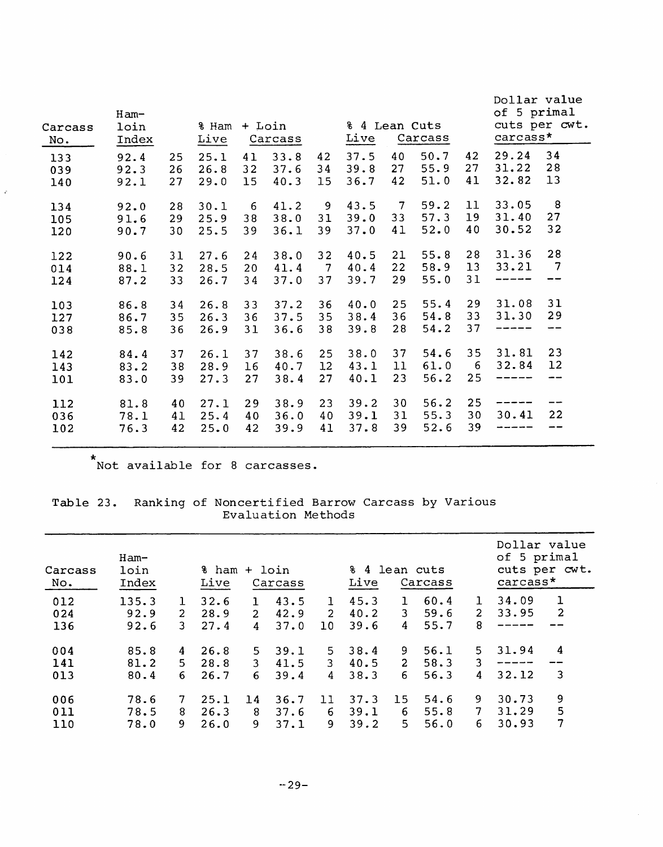| 34<br>29.24<br>50.7<br>42<br>37.5<br>40<br>25.1<br>33.8<br>42<br>92.4<br>25<br>41<br>133<br>28<br>55.9<br>27<br>31.22<br>27<br>34<br>39.8<br>32<br>37.6<br>26<br>26.8<br>92.3<br>039<br>13<br>32.82<br>42<br>51.0<br>41<br>36.7<br>40.3<br>27<br>29.0<br>$15\,$<br>15 <sub>2</sub><br>92.1<br>140<br>8<br>33.05<br>43.5<br>$7\overline{ }$<br>59.2<br>11<br>9<br>41.2<br>30.1<br>6<br>134<br>28<br>92.0<br>27<br>57.3<br>19<br>31.40<br>33<br>38<br>31<br>39.0<br>25.9<br>38.0<br>29<br>105<br>91.6<br>32<br>40<br>52.0<br>30.52<br>37.0<br>41<br>36.1<br>39<br>25.5<br>39<br>30<br>120<br>90.7<br>28<br>28<br>31.36<br>21<br>55.8<br>32<br>40.5<br>122<br>31<br>27.6<br>24<br>38.0<br>90.6<br>$\overline{7}$<br>58.9<br>13<br>33.21<br>22<br>40.4<br>41.4<br>$\overline{7}$<br>014<br>88.1<br>32<br>28.5<br>20<br>29<br>55.0<br>31<br>39.7<br>34<br>37.0<br>37<br>------<br>33<br>26.7<br>124<br>87.2<br>31<br>31.08<br>29<br>55.4<br>25<br>26.8<br>33<br>37.2<br>36<br>40.0<br>103<br>86.8<br>34<br>29<br>33<br>31.30<br>54.8<br>36<br>35<br>38.4<br>26.3<br>36<br>37.5<br>127<br>86.7<br>35<br>54.2<br>37<br>28<br>36.6<br>38<br>39.8<br>--<br>26.9<br>31<br>038<br>85.8<br>36<br>23<br>35<br>31.81<br>37<br>54.6<br>25<br>38.0<br>37<br>26.1<br>37<br>38.6<br>142<br>84.4<br>12<br>32.84<br>61.0<br>12 <sup>°</sup><br>43.1<br>11<br>6<br>16<br>40.7<br>143<br>83.2<br>38<br>28.9<br>25<br>23<br>56.2<br>27<br>40.1<br>$- -$<br>------<br>27.3<br>38.4<br>83.0<br>39<br>27<br>101<br>56.2<br>25<br>38.9<br>23<br>39.2<br>30<br>40<br>27.1<br>29<br>112<br>81.8<br>--<br>22<br>30 <sub>o</sub><br>31<br>55.3<br>30.41<br>40<br>40<br>39.1<br>036<br>78.1<br>41<br>25.4<br>36.0<br>39<br>52.6<br>39<br>42<br>41<br>37.8<br>42<br>25.0<br>39.9<br>102<br>76.3<br>---- | Carcass<br>No. | $Ham-$<br>loin<br>Index | ፄ Ham<br>Live | + Loin | Carcass | % 4 Lean Cuts<br>Live | Carcass | Dollar value<br>of 5 primal<br>cuts per cwt.<br>carcass* |  |  |
|------------------------------------------------------------------------------------------------------------------------------------------------------------------------------------------------------------------------------------------------------------------------------------------------------------------------------------------------------------------------------------------------------------------------------------------------------------------------------------------------------------------------------------------------------------------------------------------------------------------------------------------------------------------------------------------------------------------------------------------------------------------------------------------------------------------------------------------------------------------------------------------------------------------------------------------------------------------------------------------------------------------------------------------------------------------------------------------------------------------------------------------------------------------------------------------------------------------------------------------------------------------------------------------------------------------------------------------------------------------------------------------------------------------------------------------------------------------------------------------------------------------------------------------------------------------------------------------------------------------------------------------------------------------------------------------------------------------------------------------------------------------------|----------------|-------------------------|---------------|--------|---------|-----------------------|---------|----------------------------------------------------------|--|--|
|                                                                                                                                                                                                                                                                                                                                                                                                                                                                                                                                                                                                                                                                                                                                                                                                                                                                                                                                                                                                                                                                                                                                                                                                                                                                                                                                                                                                                                                                                                                                                                                                                                                                                                                                                                        |                |                         |               |        |         |                       |         |                                                          |  |  |
|                                                                                                                                                                                                                                                                                                                                                                                                                                                                                                                                                                                                                                                                                                                                                                                                                                                                                                                                                                                                                                                                                                                                                                                                                                                                                                                                                                                                                                                                                                                                                                                                                                                                                                                                                                        |                |                         |               |        |         |                       |         |                                                          |  |  |
|                                                                                                                                                                                                                                                                                                                                                                                                                                                                                                                                                                                                                                                                                                                                                                                                                                                                                                                                                                                                                                                                                                                                                                                                                                                                                                                                                                                                                                                                                                                                                                                                                                                                                                                                                                        |                |                         |               |        |         |                       |         |                                                          |  |  |
|                                                                                                                                                                                                                                                                                                                                                                                                                                                                                                                                                                                                                                                                                                                                                                                                                                                                                                                                                                                                                                                                                                                                                                                                                                                                                                                                                                                                                                                                                                                                                                                                                                                                                                                                                                        |                |                         |               |        |         |                       |         |                                                          |  |  |
|                                                                                                                                                                                                                                                                                                                                                                                                                                                                                                                                                                                                                                                                                                                                                                                                                                                                                                                                                                                                                                                                                                                                                                                                                                                                                                                                                                                                                                                                                                                                                                                                                                                                                                                                                                        |                |                         |               |        |         |                       |         |                                                          |  |  |
|                                                                                                                                                                                                                                                                                                                                                                                                                                                                                                                                                                                                                                                                                                                                                                                                                                                                                                                                                                                                                                                                                                                                                                                                                                                                                                                                                                                                                                                                                                                                                                                                                                                                                                                                                                        |                |                         |               |        |         |                       |         |                                                          |  |  |

\*<br>Not available for 8 carcasses.

 $\hat{c}$ 

# Table 23. Ranking of Noncertified Barrow Carcass by Various<br>Evaluation Methods

| Carcass<br>No. | $Ham-$<br>loin<br>Index |             | % ham<br>Live |                | + loin<br>Carcass |             | % 4 lean cuts<br>Live |                | Carcass |                |       | Dollar value<br>of 5 primal<br>cuts per cwt.<br>carcass* |  |  |  |
|----------------|-------------------------|-------------|---------------|----------------|-------------------|-------------|-----------------------|----------------|---------|----------------|-------|----------------------------------------------------------|--|--|--|
| 012            | 135.3                   | ı           | 32.6          | 1              | 43.5              | 1           | 45.3                  | Т.             | 60.4    |                | 34.09 | $\mathbf{1}$                                             |  |  |  |
| 024            | 92.9                    | $2^{\circ}$ | 28.9          | 2 <sup>1</sup> | 42.9              | $2^{\circ}$ | 40.2                  | 3              | 59.6    | $\overline{2}$ | 33.95 | $\mathbf{2}$                                             |  |  |  |
| 136            | 92.6                    | 3           | 27.4          | 4              | 37.0              | 10          | 39.6                  | 4              | 55.7    | 8              |       |                                                          |  |  |  |
| 004            | 85.8                    | 4           | 26.8          | 5.             | 39.1              | 5.          | 38.4                  | 9.             | 56.1    | 5.             | 31.94 | 4                                                        |  |  |  |
| 141            | 81.2                    | 5.          | 28.8          | 3              | 41.5              | 3           | 40.5                  | $\overline{2}$ | 58.3    | 3              |       |                                                          |  |  |  |
| 013            | 80.4                    | 6           | 26.7          | 6.             | 39.4              | 4           | 38.3                  | 6              | 56.3    | 4              | 32.12 | 3                                                        |  |  |  |
| 006            | 78.6                    | 7           | 25.1          | 14             | 36.7              | 11          | 37.3                  | 15             | 54.6    | 9              | 30.73 | 9                                                        |  |  |  |
| 011            | 78.5                    | 8           | 26.3          | 8              | 37.6              | 6           | 39.1                  | 6              | 55.8    | 7              | 31.29 | 5                                                        |  |  |  |
| 110            | 78.0                    | 9           | 26.0          | 9              | 37.1              | 9           | 39.2                  | $5^{\circ}$    | 56.0    | 6              | 30.93 | 7                                                        |  |  |  |